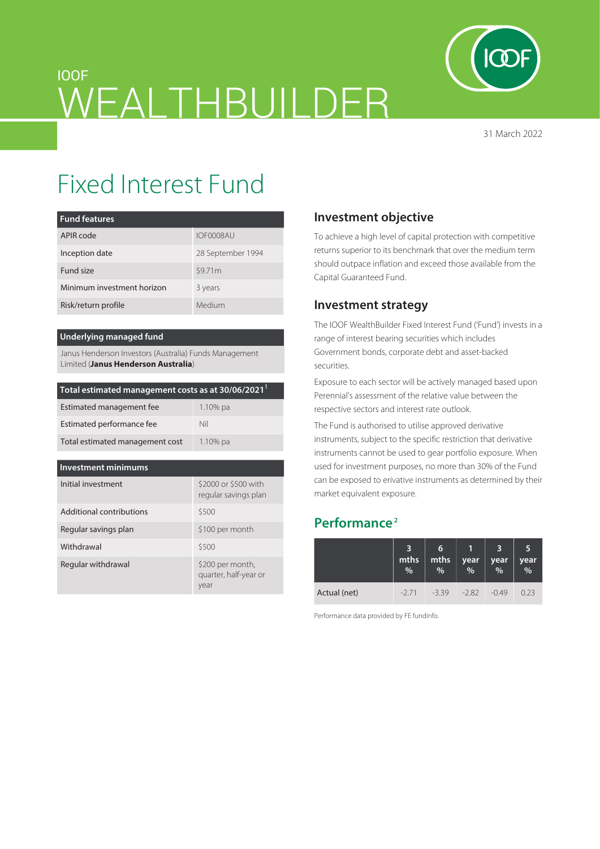

31 March 2022

# IOOF WEALTHBUILDER

# Fixed Interest Fund

| <b>Fund features</b>       |                   |
|----------------------------|-------------------|
| APIR code                  | IOF0008AU         |
| Inception date             | 28 September 1994 |
| Fund size                  | \$9.71m           |
| Minimum investment horizon | 3 years           |
| Risk/return profile        | Medium            |

#### **Underlying managed fund**

Janus Henderson Investors (Australia) Funds Management Limited (**Janus Henderson Australia**)

| Total estimated management costs as at 30/06/2021 <sup>1</sup> |                                              |  |  |  |  |
|----------------------------------------------------------------|----------------------------------------------|--|--|--|--|
| Estimated management fee                                       | 1.10% pa                                     |  |  |  |  |
| Estimated performance fee                                      | Nil                                          |  |  |  |  |
| Total estimated management cost                                | $1.10\%$ pa                                  |  |  |  |  |
|                                                                |                                              |  |  |  |  |
| <b>Investment minimums</b>                                     |                                              |  |  |  |  |
| Initial investment                                             | \$2000 or \$500 with<br>regular savings plan |  |  |  |  |
| Additional contributions                                       | \$500                                        |  |  |  |  |
| Regular savings plan                                           | \$100 per month                              |  |  |  |  |
| Withdrawal                                                     | \$500                                        |  |  |  |  |
| Regular withdrawal                                             | \$200 per month,<br>quarter, half-year or    |  |  |  |  |

year

## **Investment objective**

To achieve a high level of capital protection with competitive returns superior to its benchmark that over the medium term should outpace inflation and exceed those available from the Capital Guaranteed Fund.

### **Investment strategy**

The IOOF WealthBuilder Fixed Interest Fund ('Fund') invests in a range of interest bearing securities which includes Government bonds, corporate debt and asset-backed securities.

Exposure to each sector will be actively managed based upon Perennial's assessment of the relative value between the respective sectors and interest rate outlook.

The Fund is authorised to utilise approved derivative instruments, subject to the specific restriction that derivative instruments cannot be used to gear portfolio exposure. When used for investment purposes, no more than 30% of the Fund can be exposed to erivative instruments as determined by their market equivalent exposure.

# **Performance 2**

|              | mths<br>% | 6<br>mths<br>% | year<br>$\frac{0}{0}$ | year<br>$\%$ | 5<br>year<br>% |
|--------------|-----------|----------------|-----------------------|--------------|----------------|
| Actual (net) | $-271$    | $-339$         | $-2.82$               | $-0.49$      | 0.23           |

Performance data provided by FE fundinfo.